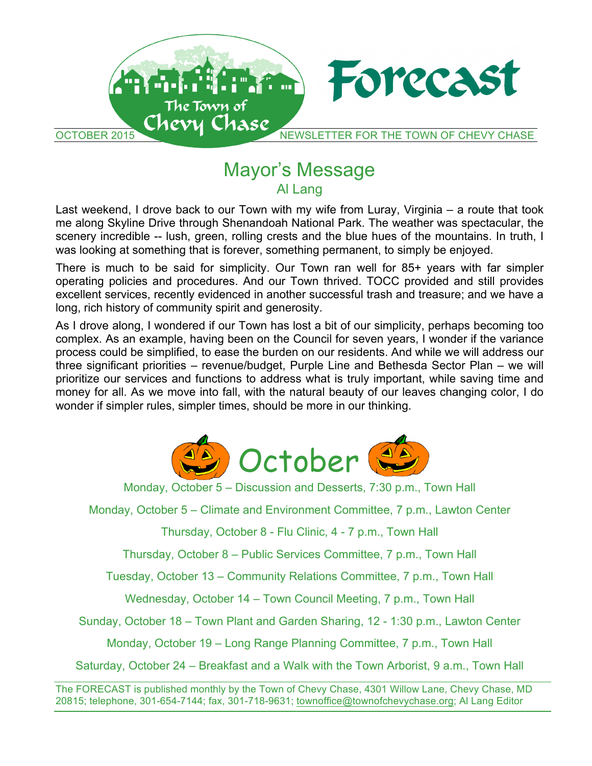

# Mayor's Message Al Lang

Last weekend, I drove back to our Town with my wife from Luray, Virginia – a route that took me along Skyline Drive through Shenandoah National Park. The weather was spectacular, the scenery incredible -- lush, green, rolling crests and the blue hues of the mountains. In truth, I was looking at something that is forever, something permanent, to simply be enjoyed.

There is much to be said for simplicity. Our Town ran well for 85+ years with far simpler operating policies and procedures. And our Town thrived. TOCC provided and still provides excellent services, recently evidenced in another successful trash and treasure; and we have a long, rich history of community spirit and generosity.

As I drove along, I wondered if our Town has lost a bit of our simplicity, perhaps becoming too complex. As an example, having been on the Council for seven years, I wonder if the variance process could be simplified, to ease the burden on our residents. And while we will address our three significant priorities – revenue/budget, Purple Line and Bethesda Sector Plan – we will prioritize our services and functions to address what is truly important, while saving time and money for all. As we move into fall, with the natural beauty of our leaves changing color, I do wonder if simpler rules, simpler times, should be more in our thinking.



Monday, October 5 – Discussion and Desserts, 7:30 p.m., Town Hall

Monday, October 5 – Climate and Environment Committee, 7 p.m., Lawton Center

Thursday, October 8 - Flu Clinic, 4 - 7 p.m., Town Hall

Thursday, October 8 – Public Services Committee, 7 p.m., Town Hall

Tuesday, October 13 – Community Relations Committee, 7 p.m., Town Hall

Wednesday, October 14 – Town Council Meeting, 7 p.m., Town Hall

Sunday, October 18 – Town Plant and Garden Sharing, 12 - 1:30 p.m., Lawton Center

Monday, October 19 – Long Range Planning Committee, 7 p.m., Town Hall

Saturday, October 24 – Breakfast and a Walk with the Town Arborist, 9 a.m., Town Hall

The FORECAST is published monthly by the Town of Chevy Chase, 4301 Willow Lane, Chevy Chase, MD 20815; telephone, 301-654-7144; fax, 301-718-9631; townoffice@townofchevychase.org; Al Lang Editor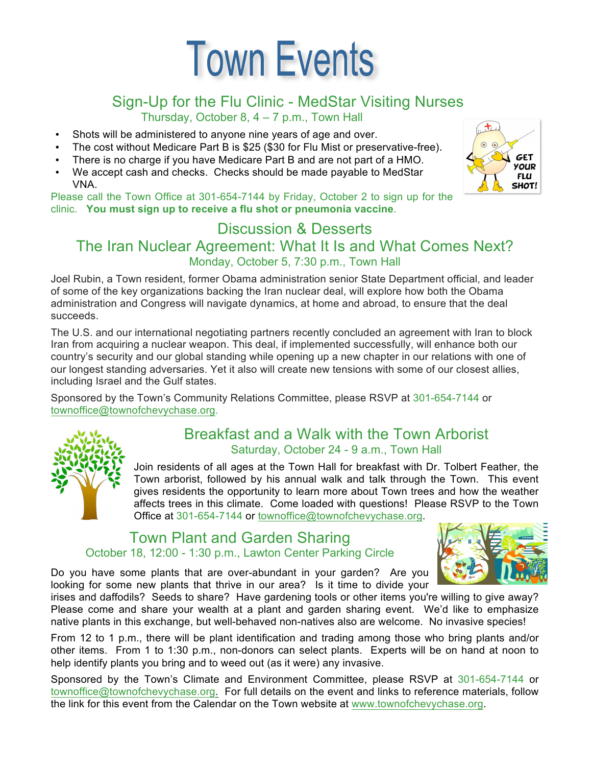# **Town Events**

# Sign-Up for the Flu Clinic - MedStar Visiting Nurses

Thursday, October 8, 4 – 7 p.m., Town Hall

- Shots will be administered to anyone nine years of age and over.
- The cost without Medicare Part B is \$25 (\$30 for Flu Mist or preservative-free).
- There is no charge if you have Medicare Part B and are not part of a HMO.
- We accept cash and checks. Checks should be made payable to MedStar VNA.

Please call the Town Office at 301-654-7144 by Friday, October 2 to sign up for the clinic. **You must sign up to receive a flu shot or pneumonia vaccine**.

# Discussion & Desserts

The Iran Nuclear Agreement: What It Is and What Comes Next? Monday, October 5, 7:30 p.m., Town Hall

Joel Rubin, a Town resident, former Obama administration senior State Department official, and leader of some of the key organizations backing the Iran nuclear deal, will explore how both the Obama administration and Congress will navigate dynamics, at home and abroad, to ensure that the deal succeeds.

The U.S. and our international negotiating partners recently concluded an agreement with Iran to block Iran from acquiring a nuclear weapon. This deal, if implemented successfully, will enhance both our country's security and our global standing while opening up a new chapter in our relations with one of our longest standing adversaries. Yet it also will create new tensions with some of our closest allies, including Israel and the Gulf states.

Sponsored by the Town's Community Relations Committee, please RSVP at 301-654-7144 or townoffice@townofchevychase.org.



#### Breakfast and a Walk with the Town Arborist Saturday, October 24 - 9 a.m., Town Hall

Join residents of all ages at the Town Hall for breakfast with Dr. Tolbert Feather, the Town arborist, followed by his annual walk and talk through the Town. This event gives residents the opportunity to learn more about Town trees and how the weather affects trees in this climate. Come loaded with questions! Please RSVP to the Town Office at 301-654-7144 or townoffice@townofchevychase.org.

#### Town Plant and Garden Sharing October 18, 12:00 - 1:30 p.m., Lawton Center Parking Circle

Do you have some plants that are over-abundant in your garden? Are you looking for some new plants that thrive in our area? Is it time to divide your



irises and daffodils? Seeds to share? Have gardening tools or other items you're willing to give away? Please come and share your wealth at a plant and garden sharing event. We'd like to emphasize native plants in this exchange, but well-behaved non-natives also are welcome. No invasive species!

From 12 to 1 p.m., there will be plant identification and trading among those who bring plants and/or other items. From 1 to 1:30 p.m., non-donors can select plants. Experts will be on hand at noon to help identify plants you bring and to weed out (as it were) any invasive.

Sponsored by the Town's Climate and Environment Committee, please RSVP at 301-654-7144 or townoffice@townofchevychase.org. For full details on the event and links to reference materials, follow the link for this event from the Calendar on the Town website at www.townofchevychase.org.

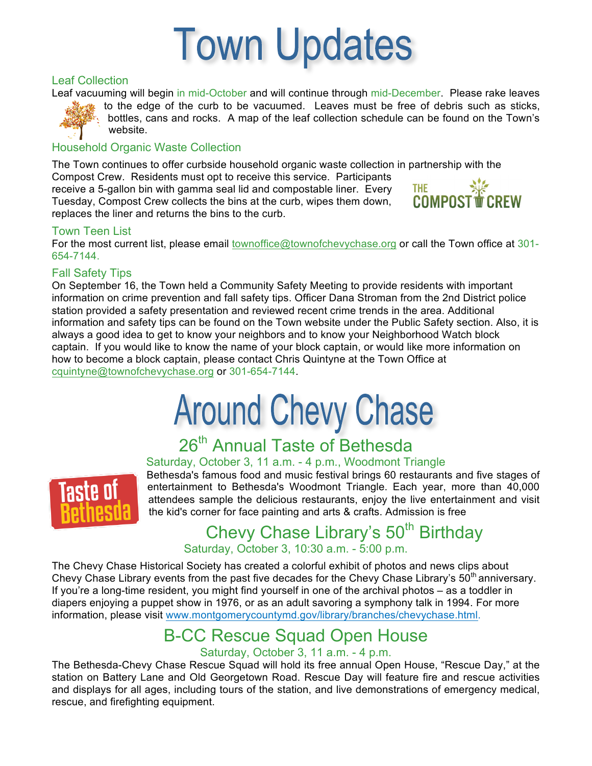

#### Leaf Collection

Leaf vacuuming will begin in mid-October and will continue through mid-December. Please rake leaves to the edge of the curb to be vacuumed. Leaves must be free of debris such as sticks,

bottles, cans and rocks. A map of the leaf collection schedule can be found on the Town's website.

#### Household Organic Waste Collection

The Town continues to offer curbside household organic waste collection in partnership with the Compost Crew. Residents must opt to receive this service. Participants THE SILE COMPOST **W** CREW receive a 5-gallon bin with gamma seal lid and compostable liner. Every Tuesday, Compost Crew collects the bins at the curb, wipes them down, replaces the liner and returns the bins to the curb.

#### Town Teen List

For the most current list, please email townoffice@townofchevychase.org or call the Town office at 301-654-7144.

#### Fall Safety Tips

On September 16, the Town held a Community Safety Meeting to provide residents with important information on crime prevention and fall safety tips. Officer Dana Stroman from the 2nd District police station provided a safety presentation and reviewed recent crime trends in the area. Additional information and safety tips can be found on the Town website under the Public Safety section. Also, it is always a good idea to get to know your neighbors and to know your Neighborhood Watch block captain. If you would like to know the name of your block captain, or would like more information on how to become a block captain, please contact Chris Quintyne at the Town Office at cquintyne@townofchevychase.org or 301-654-7144.

# **Around Chevy Chase**

# 26<sup>th</sup> Annual Taste of Bethesda

#### Saturday, October 3, 11 a.m. - 4 p.m., Woodmont Triangle



Bethesda's famous food and music festival brings 60 restaurants and five stages of entertainment to Bethesda's Woodmont Triangle. Each year, more than 40,000 attendees sample the delicious restaurants, enjoy the live entertainment and visit the kid's corner for face painting and arts & crafts. Admission is free

### Chevy Chase Library's 50<sup>th</sup> Birthday Saturday, October 3, 10:30 a.m. - 5:00 p.m.

The Chevy Chase Historical Society has created a colorful exhibit of photos and news clips about Chevy Chase Library events from the past five decades for the Chevy Chase Library's  $50<sup>th</sup>$  anniversary. If you're a long-time resident, you might find yourself in one of the archival photos – as a toddler in diapers enjoying a puppet show in 1976, or as an adult savoring a symphony talk in 1994. For more information, please visit www.montgomerycountymd.gov/library/branches/chevychase.html.

# B-CC Rescue Squad Open House

#### Saturday, October 3, 11 a.m. - 4 p.m.

The Bethesda-Chevy Chase Rescue Squad will hold its free annual Open House, "Rescue Day," at the station on Battery Lane and Old Georgetown Road. Rescue Day will feature fire and rescue activities and displays for all ages, including tours of the station, and live demonstrations of emergency medical, rescue, and firefighting equipment.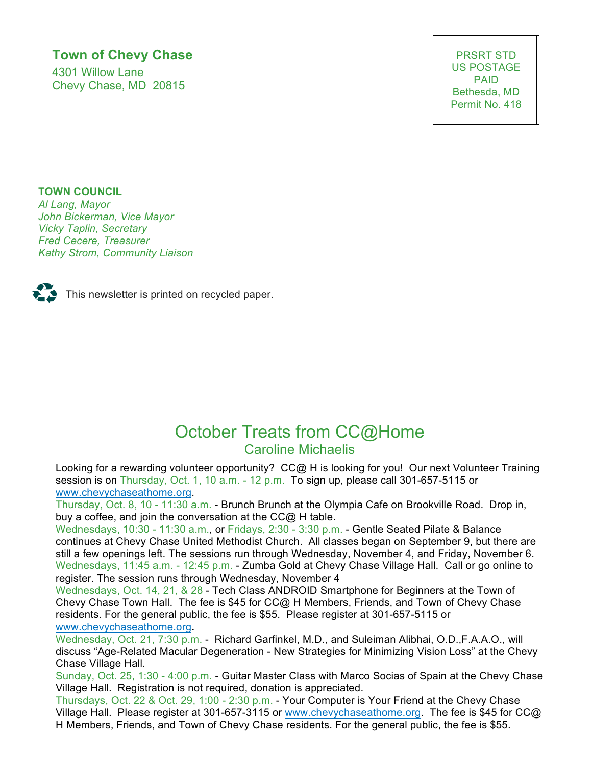#### **Town of Chevy Chase**

4301 Willow Lane Chevy Chase, MD 20815

PRSRT STD US POSTAGE PAID Bethesda, MD Permit No. 418

#### **TOWN COUNCIL**

*Al Lang, Mayor John Bickerman, Vice Mayor Vicky Taplin, Secretary Fred Cecere, Treasurer Kathy Strom, Community Liaison*



 $\sum$  This newsletter is printed on recycled paper.

## October Treats from CC@Home Caroline Michaelis

Looking for a rewarding volunteer opportunity? CC@ H is looking for you! Our next Volunteer Training session is on Thursday, Oct. 1, 10 a.m. - 12 p.m. To sign up, please call 301-657-5115 or www.chevychaseathome.org.

Thursday, Oct. 8, 10 - 11:30 a.m. - Brunch Brunch at the Olympia Cafe on Brookville Road. Drop in, buy a coffee, and join the conversation at the CC@ H table.

Wednesdays, 10:30 - 11:30 a.m., or Fridays, 2:30 - 3:30 p.m. - Gentle Seated Pilate & Balance continues at Chevy Chase United Methodist Church. All classes began on September 9, but there are still a few openings left. The sessions run through Wednesday, November 4, and Friday, November 6. Wednesdays, 11:45 a.m. - 12:45 p.m. - Zumba Gold at Chevy Chase Village Hall. Call or go online to register. The session runs through Wednesday, November 4

Wednesdays, Oct. 14, 21, & 28 - Tech Class ANDROID Smartphone for Beginners at the Town of Chevy Chase Town Hall. The fee is \$45 for CC@ H Members, Friends, and Town of Chevy Chase residents. For the general public, the fee is \$55. Please register at 301-657-5115 or www.chevychaseathome.org**.**

Wednesday, Oct. 21, 7:30 p.m. -Richard Garfinkel, M.D., and Suleiman Alibhai, O.D.,F.A.A.O., will discuss "Age-Related Macular Degeneration - New Strategies for Minimizing Vision Loss" at the Chevy Chase Village Hall.

Sunday, Oct. 25, 1:30 - 4:00 p.m. - Guitar Master Class with Marco Socias of Spain at the Chevy Chase Village Hall. Registration is not required, donation is appreciated.

Thursdays, Oct. 22 & Oct. 29, 1:00 - 2:30 p.m. - Your Computer is Your Friend at the Chevy Chase Village Hall. Please register at 301-657-3115 or www.chevychaseathome.org. The fee is \$45 for CC@ H Members, Friends, and Town of Chevy Chase residents. For the general public, the fee is \$55.